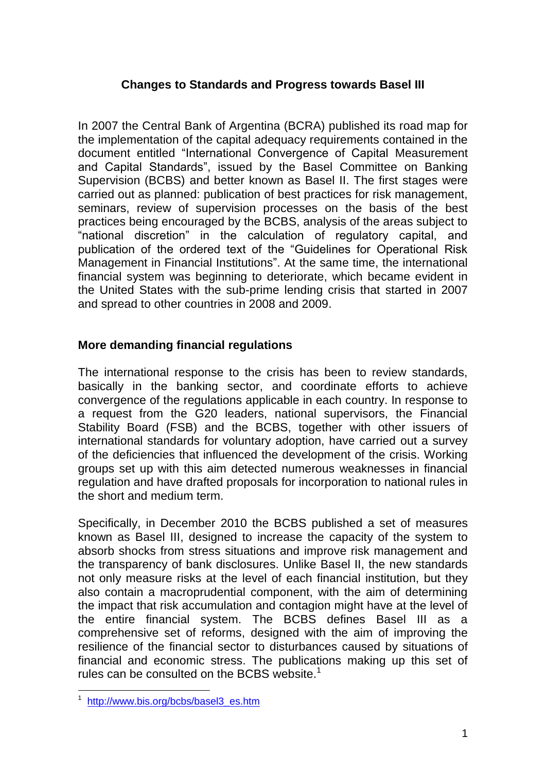## **Changes to Standards and Progress towards Basel III**

In 2007 the Central Bank of Argentina (BCRA) published its road map for the implementation of the capital adequacy requirements contained in the document entitled "International Convergence of Capital Measurement and Capital Standards", issued by the Basel Committee on Banking Supervision (BCBS) and better known as Basel II. The first stages were carried out as planned: publication of best practices for risk management, seminars, review of supervision processes on the basis of the best practices being encouraged by the BCBS, analysis of the areas subject to "national discretion" in the calculation of regulatory capital, and publication of the ordered text of the "Guidelines for Operational Risk Management in Financial Institutions". At the same time, the international financial system was beginning to deteriorate, which became evident in the United States with the sub-prime lending crisis that started in 2007 and spread to other countries in 2008 and 2009.

## **More demanding financial regulations**

The international response to the crisis has been to review standards, basically in the banking sector, and coordinate efforts to achieve convergence of the regulations applicable in each country. In response to a request from the G20 leaders, national supervisors, the Financial Stability Board (FSB) and the BCBS, together with other issuers of international standards for voluntary adoption, have carried out a survey of the deficiencies that influenced the development of the crisis. Working groups set up with this aim detected numerous weaknesses in financial regulation and have drafted proposals for incorporation to national rules in the short and medium term.

Specifically, in December 2010 the BCBS published a set of measures known as Basel III, designed to increase the capacity of the system to absorb shocks from stress situations and improve risk management and the transparency of bank disclosures. Unlike Basel II, the new standards not only measure risks at the level of each financial institution, but they also contain a macroprudential component, with the aim of determining the impact that risk accumulation and contagion might have at the level of the entire financial system. The BCBS defines Basel III as a comprehensive set of reforms, designed with the aim of improving the resilience of the financial sector to disturbances caused by situations of financial and economic stress. The publications making up this set of rules can be consulted on the BCBS website.<sup>1</sup>

1

<sup>1</sup> [http://www.bis.org/bcbs/basel3\\_es.htm](http://www.bis.org/bcbs/basel3_es.htm)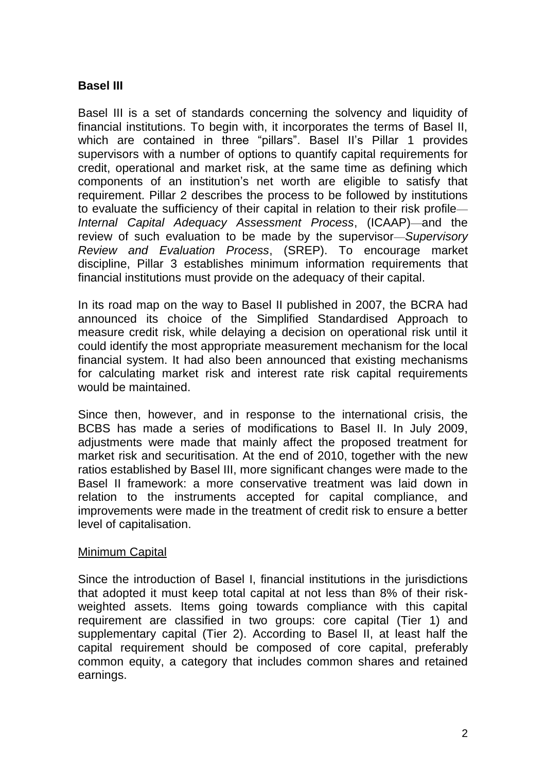# **Basel III**

Basel III is a set of standards concerning the solvency and liquidity of financial institutions. To begin with, it incorporates the terms of Basel II, which are contained in three "pillars". Basel II's Pillar 1 provides supervisors with a number of options to quantify capital requirements for credit, operational and market risk, at the same time as defining which components of an institution's net worth are eligible to satisfy that requirement. Pillar 2 describes the process to be followed by institutions to evaluate the sufficiency of their capital in relation to their risk profile— *Internal Capital Adequacy Assessment Process*, (ICAAP)—and the review of such evaluation to be made by the supervisor—*Supervisory Review and Evaluation Process*, (SREP). To encourage market discipline, Pillar 3 establishes minimum information requirements that financial institutions must provide on the adequacy of their capital.

In its road map on the way to Basel II published in 2007, the BCRA had announced its choice of the Simplified Standardised Approach to measure credit risk, while delaying a decision on operational risk until it could identify the most appropriate measurement mechanism for the local financial system. It had also been announced that existing mechanisms for calculating market risk and interest rate risk capital requirements would be maintained.

Since then, however, and in response to the international crisis, the BCBS has made a series of modifications to Basel II. In July 2009, adjustments were made that mainly affect the proposed treatment for market risk and securitisation. At the end of 2010, together with the new ratios established by Basel III, more significant changes were made to the Basel II framework: a more conservative treatment was laid down in relation to the instruments accepted for capital compliance, and improvements were made in the treatment of credit risk to ensure a better level of capitalisation.

#### Minimum Capital

Since the introduction of Basel I, financial institutions in the jurisdictions that adopted it must keep total capital at not less than 8% of their riskweighted assets. Items going towards compliance with this capital requirement are classified in two groups: core capital (Tier 1) and supplementary capital (Tier 2). According to Basel II, at least half the capital requirement should be composed of core capital, preferably common equity, a category that includes common shares and retained earnings.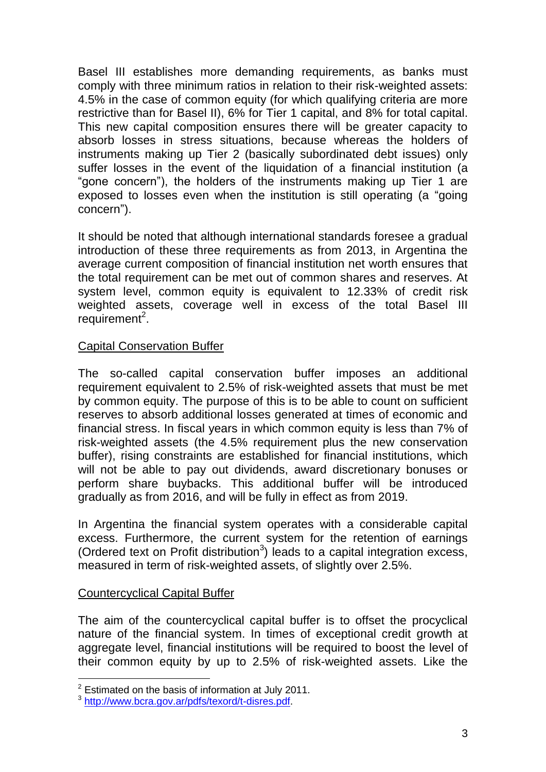Basel III establishes more demanding requirements, as banks must comply with three minimum ratios in relation to their risk-weighted assets: 4.5% in the case of common equity (for which qualifying criteria are more restrictive than for Basel II), 6% for Tier 1 capital, and 8% for total capital. This new capital composition ensures there will be greater capacity to absorb losses in stress situations, because whereas the holders of instruments making up Tier 2 (basically subordinated debt issues) only suffer losses in the event of the liquidation of a financial institution (a "gone concern"), the holders of the instruments making up Tier 1 are exposed to losses even when the institution is still operating (a "going concern").

It should be noted that although international standards foresee a gradual introduction of these three requirements as from 2013, in Argentina the average current composition of financial institution net worth ensures that the total requirement can be met out of common shares and reserves. At system level, common equity is equivalent to 12.33% of credit risk weighted assets, coverage well in excess of the total Basel III  $requirement<sup>2</sup>$ .

## Capital Conservation Buffer

The so-called capital conservation buffer imposes an additional requirement equivalent to 2.5% of risk-weighted assets that must be met by common equity. The purpose of this is to be able to count on sufficient reserves to absorb additional losses generated at times of economic and financial stress. In fiscal years in which common equity is less than 7% of risk-weighted assets (the 4.5% requirement plus the new conservation buffer), rising constraints are established for financial institutions, which will not be able to pay out dividends, award discretionary bonuses or perform share buybacks. This additional buffer will be introduced gradually as from 2016, and will be fully in effect as from 2019.

In Argentina the financial system operates with a considerable capital excess. Furthermore, the current system for the retention of earnings (Ordered text on Profit distribution<sup>3</sup>) leads to a capital integration excess, measured in term of risk-weighted assets, of slightly over 2.5%.

#### Countercyclical Capital Buffer

<u>.</u>

The aim of the countercyclical capital buffer is to offset the procyclical nature of the financial system. In times of exceptional credit growth at aggregate level, financial institutions will be required to boost the level of their common equity by up to 2.5% of risk-weighted assets. Like the

 $2$  Estimated on the basis of information at July 2011.

<sup>&</sup>lt;sup>3</sup> http://www.bcra.gov.ar/pdfs/texord/t-disres.pdf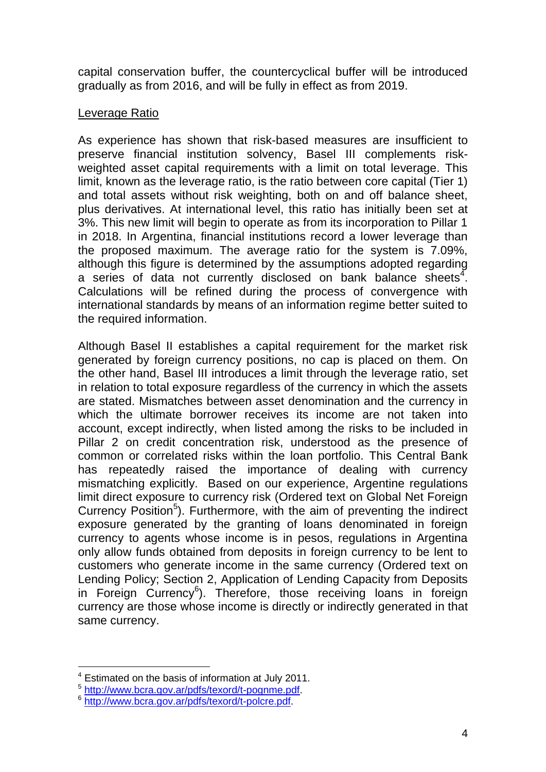capital conservation buffer, the countercyclical buffer will be introduced gradually as from 2016, and will be fully in effect as from 2019.

## Leverage Ratio

As experience has shown that risk-based measures are insufficient to preserve financial institution solvency, Basel III complements riskweighted asset capital requirements with a limit on total leverage. This limit, known as the leverage ratio, is the ratio between core capital (Tier 1) and total assets without risk weighting, both on and off balance sheet, plus derivatives. At international level, this ratio has initially been set at 3%. This new limit will begin to operate as from its incorporation to Pillar 1 in 2018. In Argentina, financial institutions record a lower leverage than the proposed maximum. The average ratio for the system is 7.09%, although this figure is determined by the assumptions adopted regarding a series of data not currently disclosed on bank balance sheets $^4$ . Calculations will be refined during the process of convergence with international standards by means of an information regime better suited to the required information.

Although Basel II establishes a capital requirement for the market risk generated by foreign currency positions, no cap is placed on them. On the other hand, Basel III introduces a limit through the leverage ratio, set in relation to total exposure regardless of the currency in which the assets are stated. Mismatches between asset denomination and the currency in which the ultimate borrower receives its income are not taken into account, except indirectly, when listed among the risks to be included in Pillar 2 on credit concentration risk, understood as the presence of common or correlated risks within the loan portfolio. This Central Bank has repeatedly raised the importance of dealing with currency mismatching explicitly. Based on our experience, Argentine regulations limit direct exposure to currency risk (Ordered text on Global Net Foreign Currency Position<sup>5</sup>). Furthermore, with the aim of preventing the indirect exposure generated by the granting of loans denominated in foreign currency to agents whose income is in pesos, regulations in Argentina only allow funds obtained from deposits in foreign currency to be lent to customers who generate income in the same currency (Ordered text on Lending Policy; Section 2, Application of Lending Capacity from Deposits in Foreign Currency<sup>6</sup>). Therefore, those receiving loans in foreign currency are those whose income is directly or indirectly generated in that same currency.

<u>.</u>

Estimated on the basis of information at July 2011.

<sup>5</sup> [http://www.bcra.gov.ar/pdfs/texord/t-pognme.pdf.](http://www.bcra.gov.ar/pdfs/texord/t-pognme.pdf)

<sup>6</sup> [http://www.bcra.gov.ar/pdfs/texord/t-polcre.pdf.](http://www.bcra.gov.ar/pdfs/texord/t-polcre.pdf)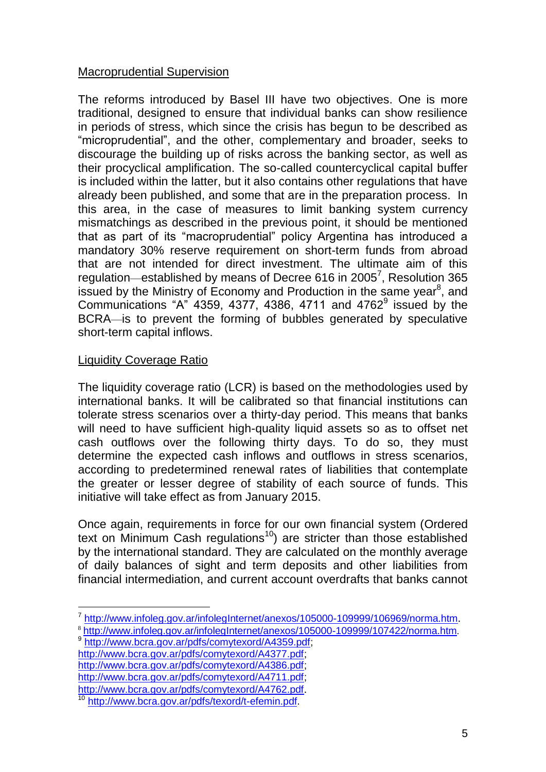## Macroprudential Supervision

The reforms introduced by Basel III have two objectives. One is more traditional, designed to ensure that individual banks can show resilience in periods of stress, which since the crisis has begun to be described as "microprudential", and the other, complementary and broader, seeks to discourage the building up of risks across the banking sector, as well as their procyclical amplification. The so-called countercyclical capital buffer is included within the latter, but it also contains other regulations that have already been published, and some that are in the preparation process. In this area, in the case of measures to limit banking system currency mismatchings as described in the previous point, it should be mentioned that as part of its "macroprudential" policy Argentina has introduced a mandatory 30% reserve requirement on short-term funds from abroad that are not intended for direct investment. The ultimate aim of this regulation—established by means of Decree 616 in 2005<sup>7</sup>, Resolution 365 issued by the Ministry of Economy and Production in the same year<sup>8</sup>, and Communications "A"  $4359, 4377, 4386, 4711$  and  $4762<sup>9</sup>$  issued by the BCRA—is to prevent the forming of bubbles generated by speculative short-term capital inflows.

## Liquidity Coverage Ratio

1

The liquidity coverage ratio (LCR) is based on the methodologies used by international banks. It will be calibrated so that financial institutions can tolerate stress scenarios over a thirty-day period. This means that banks will need to have sufficient high-quality liquid assets so as to offset net cash outflows over the following thirty days. To do so, they must determine the expected cash inflows and outflows in stress scenarios, according to predetermined renewal rates of liabilities that contemplate the greater or lesser degree of stability of each source of funds. This initiative will take effect as from January 2015.

Once again, requirements in force for our own financial system (Ordered text on Minimum Cash regulations<sup>10</sup>) are stricter than those established by the international standard. They are calculated on the monthly average of daily balances of sight and term deposits and other liabilities from financial intermediation, and current account overdrafts that banks cannot

<sup>9</sup> [http://www.bcra.gov.ar/pdfs/comytexord/A4359.pdf;](http://www.bcra.gov.ar/pdfs/comytexord/A4359.pdf)

[http://www.bcra.gov.ar/pdfs/comytexord/A4377.pdf;](http://www.bcra.gov.ar/pdfs/comytexord/A4377.pdf)

[http://www.bcra.gov.ar/pdfs/comytexord/A4386.pdf;](http://www.bcra.gov.ar/pdfs/comytexord/A4386.pdf) [http://www.bcra.gov.ar/pdfs/comytexord/A4711.pdf;](http://www.bcra.gov.ar/pdfs/comytexord/A4711.pdf)

<sup>&</sup>lt;sup>7</sup> <http://www.infoleg.gov.ar/infolegInternet/anexos/105000-109999/106969/norma.htm>.

<sup>8</sup> <http://www.infoleg.gov.ar/infolegInternet/anexos/105000-109999/107422/norma.htm>.

<http://www.bcra.gov.ar/pdfs/comytexord/A4762.pdf>.

<sup>10</sup> [http://www.bcra.gov.ar/pdfs/texord/t-efemin.pdf.](http://www.bcra.gov.ar/pdfs/texord/t-efemin.pdf)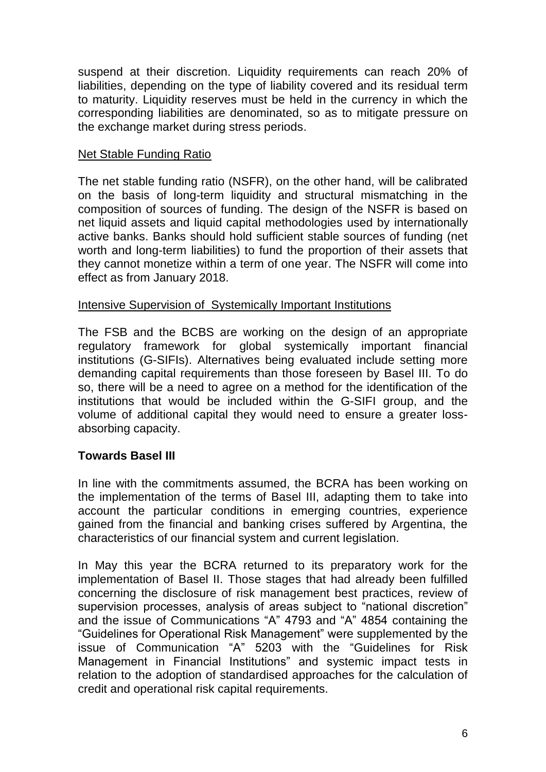suspend at their discretion. Liquidity requirements can reach 20% of liabilities, depending on the type of liability covered and its residual term to maturity. Liquidity reserves must be held in the currency in which the corresponding liabilities are denominated, so as to mitigate pressure on the exchange market during stress periods.

## Net Stable Funding Ratio

The net stable funding ratio (NSFR), on the other hand, will be calibrated on the basis of long-term liquidity and structural mismatching in the composition of sources of funding. The design of the NSFR is based on net liquid assets and liquid capital methodologies used by internationally active banks. Banks should hold sufficient stable sources of funding (net worth and long-term liabilities) to fund the proportion of their assets that they cannot monetize within a term of one year. The NSFR will come into effect as from January 2018.

## Intensive Supervision of Systemically Important Institutions

The FSB and the BCBS are working on the design of an appropriate regulatory framework for global systemically important financial institutions (G-SIFIs). Alternatives being evaluated include setting more demanding capital requirements than those foreseen by Basel III. To do so, there will be a need to agree on a method for the identification of the institutions that would be included within the G-SIFI group, and the volume of additional capital they would need to ensure a greater lossabsorbing capacity.

## **Towards Basel III**

In line with the commitments assumed, the BCRA has been working on the implementation of the terms of Basel III, adapting them to take into account the particular conditions in emerging countries, experience gained from the financial and banking crises suffered by Argentina, the characteristics of our financial system and current legislation.

In May this year the BCRA returned to its preparatory work for the implementation of Basel II. Those stages that had already been fulfilled concerning the disclosure of risk management best practices, review of supervision processes, analysis of areas subject to "national discretion" and the issue of Communications "A" 4793 and "A" 4854 containing the "Guidelines for Operational Risk Management" were supplemented by the issue of Communication "A" 5203 with the "Guidelines for Risk Management in Financial Institutions" and systemic impact tests in relation to the adoption of standardised approaches for the calculation of credit and operational risk capital requirements.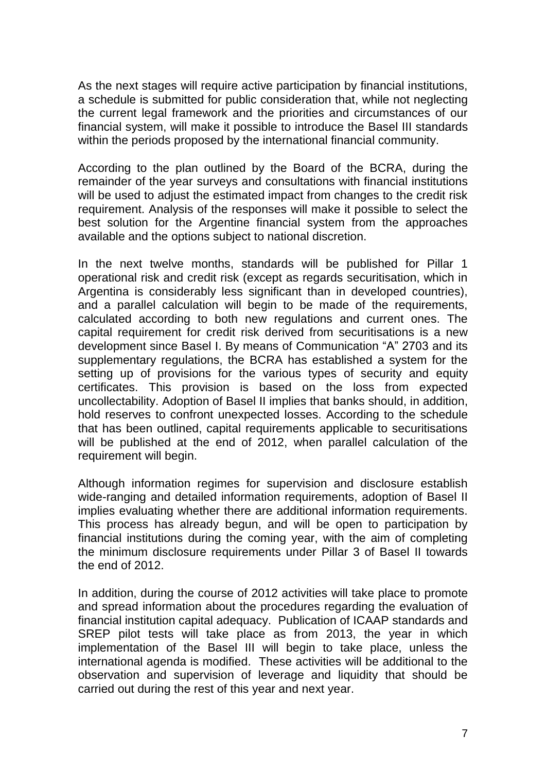As the next stages will require active participation by financial institutions, a schedule is submitted for public consideration that, while not neglecting the current legal framework and the priorities and circumstances of our financial system, will make it possible to introduce the Basel III standards within the periods proposed by the international financial community.

According to the plan outlined by the Board of the BCRA, during the remainder of the year surveys and consultations with financial institutions will be used to adjust the estimated impact from changes to the credit risk requirement. Analysis of the responses will make it possible to select the best solution for the Argentine financial system from the approaches available and the options subject to national discretion.

In the next twelve months, standards will be published for Pillar 1 operational risk and credit risk (except as regards securitisation, which in Argentina is considerably less significant than in developed countries), and a parallel calculation will begin to be made of the requirements, calculated according to both new regulations and current ones. The capital requirement for credit risk derived from securitisations is a new development since Basel I. By means of Communication "A" 2703 and its supplementary regulations, the BCRA has established a system for the setting up of provisions for the various types of security and equity certificates. This provision is based on the loss from expected uncollectability. Adoption of Basel II implies that banks should, in addition, hold reserves to confront unexpected losses. According to the schedule that has been outlined, capital requirements applicable to securitisations will be published at the end of 2012, when parallel calculation of the requirement will begin.

Although information regimes for supervision and disclosure establish wide-ranging and detailed information requirements, adoption of Basel II implies evaluating whether there are additional information requirements. This process has already begun, and will be open to participation by financial institutions during the coming year, with the aim of completing the minimum disclosure requirements under Pillar 3 of Basel II towards the end of 2012.

In addition, during the course of 2012 activities will take place to promote and spread information about the procedures regarding the evaluation of financial institution capital adequacy. Publication of ICAAP standards and SREP pilot tests will take place as from 2013, the year in which implementation of the Basel III will begin to take place, unless the international agenda is modified. These activities will be additional to the observation and supervision of leverage and liquidity that should be carried out during the rest of this year and next year.